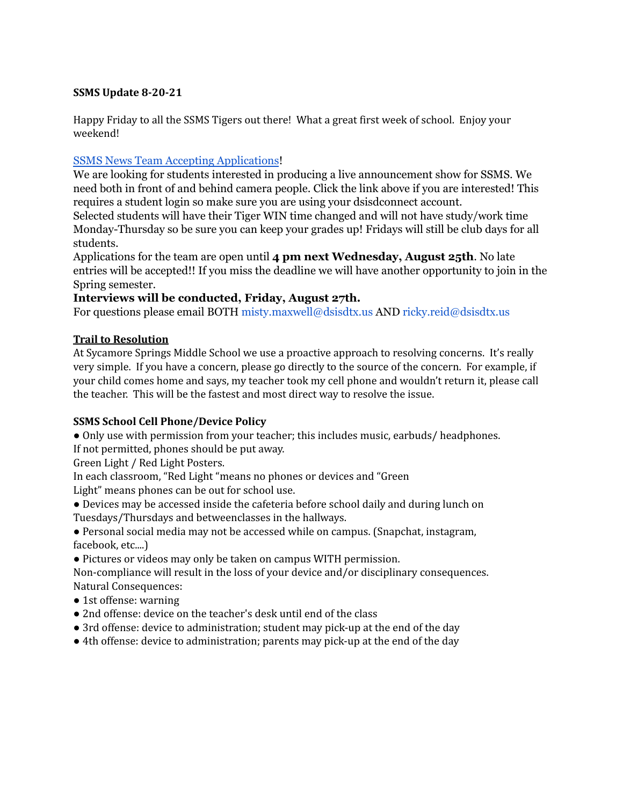### **SSMS Update 8-20-21**

Happy Friday to all the SSMS Tigers out there! What a great first week of school. Enjoy your weekend!

## SSMS News Team Accepting [Applications](https://docs.google.com/forms/d/e/1FAIpQLScZw3s4dsWhQW2nQgp_q4StSLNHRSnf5GOBv3dbM37jcmFjdA/viewform)!

We are looking for students interested in producing a live announcement show for SSMS. We need both in front of and behind camera people. Click the link above if you are interested! This requires a student login so make sure you are using your dsisdconnect account.

Selected students will have their Tiger WIN time changed and will not have study/work time Monday-Thursday so be sure you can keep your grades up! Fridays will still be club days for all students.

Applications for the team are open until **4 pm next Wednesday, August 25th**. No late entries will be accepted!! If you miss the deadline we will have another opportunity to join in the Spring semester.

## **Interviews will be conducted, Friday, August 27th.**

For questions please email BOTH misty.maxwell@dsisdtx.us AND ricky.reid@dsisdtx.us

## **Trail to Resolution**

At Sycamore Springs Middle School we use a proactive approach to resolving concerns. It's really very simple. If you have a concern, please go directly to the source of the concern. For example, if your child comes home and says, my teacher took my cell phone and wouldn't return it, please call the teacher. This will be the fastest and most direct way to resolve the issue.

# **SSMS School Cell Phone/Device Policy**

● Only use with permission from your teacher; this includes music, earbuds/ headphones. If not permitted, phones should be put away.

Green Light / Red Light Posters.

In each classroom, "Red Light "means no phones or devices and "Green

Light" means phones can be out for school use.

● Devices may be accessed inside the cafeteria before school daily and during lunch on

Tuesdays/Thursdays and betweenclasses in the hallways.

● Personal social media may not be accessed while on campus. (Snapchat, instagram, facebook, etc....)

● Pictures or videos may only be taken on campus WITH permission.

Non-compliance will result in the loss of your device and/or disciplinary consequences. Natural Consequences:

- 1st offense: warning
- 2nd offense: device on the teacher's desk until end of the class
- 3rd offense: device to administration; student may pick-up at the end of the day
- 4th offense: device to administration; parents may pick-up at the end of the day